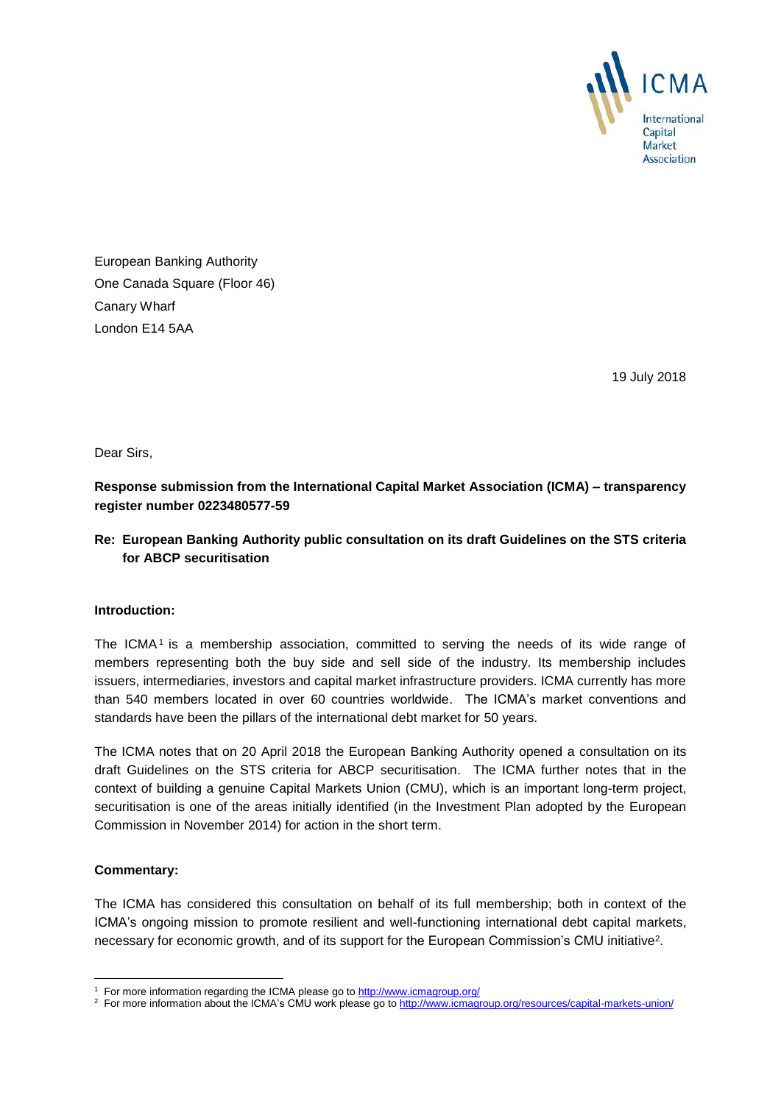

European Banking Authority One Canada Square (Floor 46) Canary Wharf London E14 5AA

19 July 2018

Dear Sirs,

**Response submission from the International Capital Market Association (ICMA) – transparency register number 0223480577-59**

## **Re: European Banking Authority public consultation on its draft Guidelines on the STS criteria for ABCP securitisation**

## **Introduction:**

The ICMA<sup>1</sup> is a membership association, committed to serving the needs of its wide range of members representing both the buy side and sell side of the industry. Its membership includes issuers, intermediaries, investors and capital market infrastructure providers. ICMA currently has more than 540 members located in over 60 countries worldwide. The ICMA's market conventions and standards have been the pillars of the international debt market for 50 years.

The ICMA notes that on 20 April 2018 the European Banking Authority opened a consultation on its draft Guidelines on the STS criteria for ABCP securitisation. The ICMA further notes that in the context of building a genuine Capital Markets Union (CMU), which is an important long-term project, securitisation is one of the areas initially identified (in the Investment Plan adopted by the European Commission in November 2014) for action in the short term.

## **Commentary:**

-

The ICMA has considered this consultation on behalf of its full membership; both in context of the ICMA's ongoing mission to promote resilient and well-functioning international debt capital markets, necessary for economic growth, and of its support for the European Commission's CMU initiative<sup>2</sup>.

<sup>&</sup>lt;sup>1</sup> For more information regarding the ICMA please go to<http://www.icmagroup.org/>

<sup>&</sup>lt;sup>2</sup> For more information about the ICMA's CMU work please go t[o http://www.icmagroup.org/resources/capital-markets-union/](http://www.icmagroup.org/resources/capital-markets-union/)